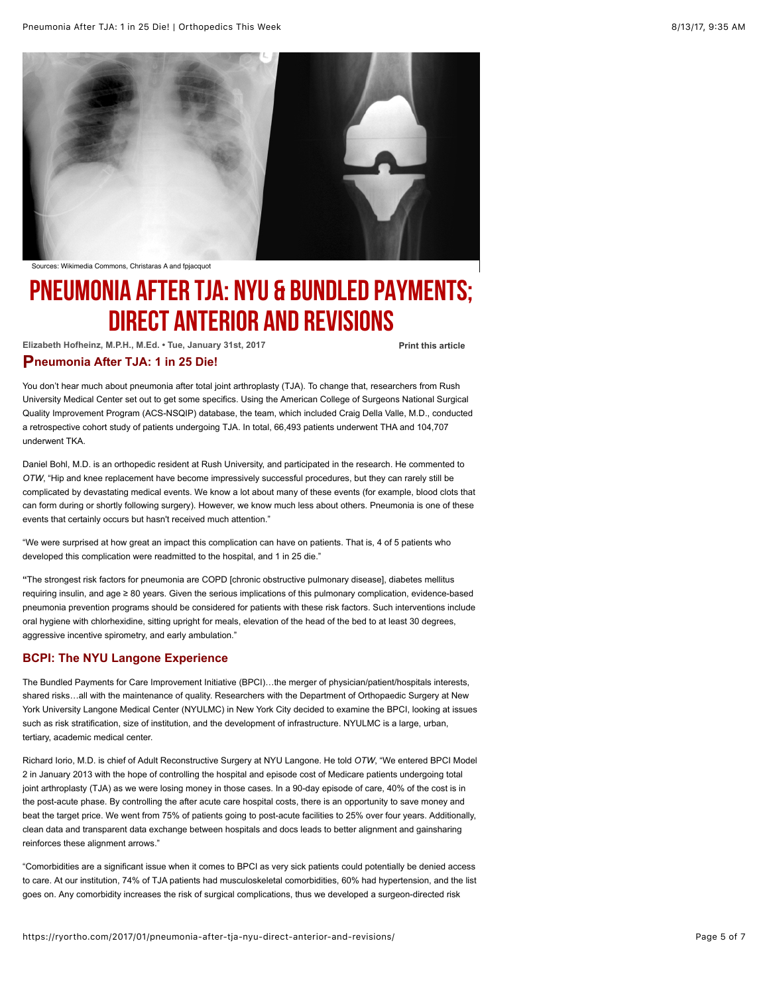

Sources: Wikimedia Commons, Christaras A and fpjacquot

# PNEUMONIA AFTER TJA: NYU & BUNDLED PAYMENTS; DIRECT ANTERIOR AND REVISIONS

**Elizabeth Hofheinz, M.P.H., M.Ed. • Tue, January 31st, 2017**

**[Print this article](javascript:window.print())**

### **P neumonia After TJA: 1 in 25 Die!**

You don't hear much about pneumonia after total joint arthroplasty (TJA). To change that, researchers from Rush University Medical Center set out to get some specifics. Using the American College of Surgeons National Surgical Quality Improvement Program (ACS-NSQIP) database, the team, which included Craig Della Valle, M.D., conducted a retrospective cohort study of patients undergoing TJA. In total, 66,493 patients underwent THA and 104,707 underwent TKA.

Daniel Bohl, M.D. is an orthopedic resident at Rush University, and participated in the research. He commented to *OTW*, "Hip and knee replacement have become impressively successful procedures, but they can rarely still be complicated by devastating medical events. We know a lot about many of these events (for example, blood clots that can form during or shortly following surgery). However, we know much less about others. Pneumonia is one of these events that certainly occurs but hasn't received much attention."

"We were surprised at how great an impact this complication can have on patients. That is, 4 of 5 patients who developed this complication were readmitted to the hospital, and 1 in 25 die."

**"**The strongest risk factors for pneumonia are COPD [chronic obstructive pulmonary disease], diabetes mellitus requiring insulin, and age ≥ 80 years. Given the serious implications of this pulmonary complication, evidence-based pneumonia prevention programs should be considered for patients with these risk factors. Such interventions include oral hygiene with chlorhexidine, sitting upright for meals, elevation of the head of the bed to at least 30 degrees, aggressive incentive spirometry, and early ambulation."

#### **BCPI: The NYU Langone Experience**

The Bundled Payments for Care Improvement Initiative (BPCI)…the merger of physician/patient/hospitals interests, shared risks…all with the maintenance of quality. Researchers with the Department of Orthopaedic Surgery at New York University Langone Medical Center (NYULMC) in New York City decided to examine the BPCI, looking at issues such as risk stratification, size of institution, and the development of infrastructure. NYULMC is a large, urban, tertiary, academic medical center.

Richard Iorio, M.D. is chief of Adult Reconstructive Surgery at NYU Langone. He told *OTW*, "We entered BPCI Model 2 in January 2013 with the hope of controlling the hospital and episode cost of Medicare patients undergoing total joint arthroplasty (TJA) as we were losing money in those cases. In a 90-day episode of care, 40% of the cost is in the post-acute phase. By controlling the after acute care hospital costs, there is an opportunity to save money and beat the target price. We went from 75% of patients going to post-acute facilities to 25% over four years. Additionally, clean data and transparent data exchange between hospitals and docs leads to better alignment and gainsharing reinforces these alignment arrows."

"Comorbidities are a significant issue when it comes to BPCI as very sick patients could potentially be denied access to care. At our institution, 74% of TJA patients had musculoskeletal comorbidities, 60% had hypertension, and the list goes on. Any comorbidity increases the risk of surgical complications, thus we developed a surgeon-directed risk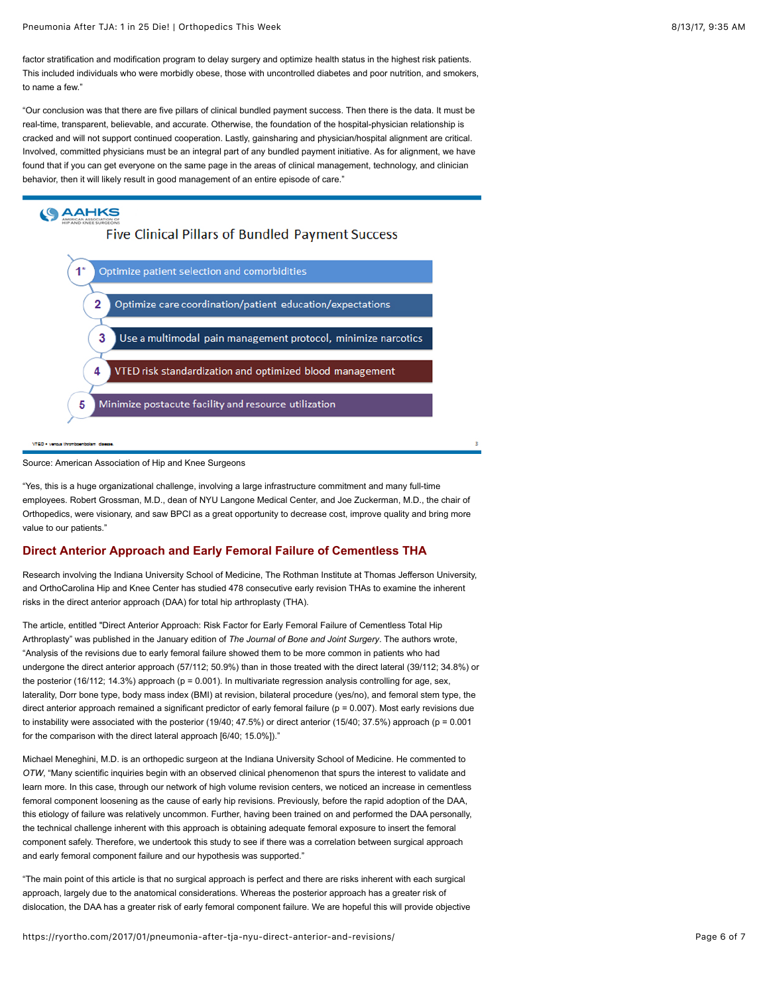factor stratification and modification program to delay surgery and optimize health status in the highest risk patients. This included individuals who were morbidly obese, those with uncontrolled diabetes and poor nutrition, and smokers, to name a few."

"Our conclusion was that there are five pillars of clinical bundled payment success. Then there is the data. It must be real-time, transparent, believable, and accurate. Otherwise, the foundation of the hospital-physician relationship is cracked and will not support continued cooperation. Lastly, gainsharing and physician/hospital alignment are critical. Involved, committed physicians must be an integral part of any bundled payment initiative. As for alignment, we have found that if you can get everyone on the same page in the areas of clinical management, technology, and clinician behavior, then it will likely result in good management of an entire episode of care."

## **SAAHKS** Five Clinical Pillars of Bundled Payment Success



Source: American Association of Hip and Knee Surgeons

"Yes, this is a huge organizational challenge, involving a large infrastructure commitment and many full-time employees. Robert Grossman, M.D., dean of NYU Langone Medical Center, and Joe Zuckerman, M.D., the chair of Orthopedics, were visionary, and saw BPCI as a great opportunity to decrease cost, improve quality and bring more value to our patients."

#### **Direct Anterior Approach and Early Femoral Failure of Cementless THA**

Research involving the Indiana University School of Medicine, The Rothman Institute at Thomas Jefferson University, and OrthoCarolina Hip and Knee Center has studied 478 consecutive early revision THAs to examine the inherent risks in the direct anterior approach (DAA) for total hip arthroplasty (THA).

The article, entitled "Direct Anterior Approach: Risk Factor for Early Femoral Failure of Cementless Total Hip Arthroplasty" was published in the January edition of *The Journal of Bone and Joint Surgery*. The authors wrote, "Analysis of the revisions due to early femoral failure showed them to be more common in patients who had undergone the direct anterior approach (57/112; 50.9%) than in those treated with the direct lateral (39/112; 34.8%) or the posterior (16/112; 14.3%) approach (p = 0.001). In multivariate regression analysis controlling for age, sex, laterality, Dorr bone type, body mass index (BMI) at revision, bilateral procedure (yes/no), and femoral stem type, the direct anterior approach remained a significant predictor of early femoral failure (p = 0.007). Most early revisions due to instability were associated with the posterior (19/40; 47.5%) or direct anterior (15/40; 37.5%) approach (p = 0.001 for the comparison with the direct lateral approach [6/40; 15.0%])."

Michael Meneghini, M.D. is an orthopedic surgeon at the Indiana University School of Medicine. He commented to *OTW*, "Many scientific inquiries begin with an observed clinical phenomenon that spurs the interest to validate and learn more. In this case, through our network of high volume revision centers, we noticed an increase in cementless femoral component loosening as the cause of early hip revisions. Previously, before the rapid adoption of the DAA, this etiology of failure was relatively uncommon. Further, having been trained on and performed the DAA personally, the technical challenge inherent with this approach is obtaining adequate femoral exposure to insert the femoral component safely. Therefore, we undertook this study to see if there was a correlation between surgical approach and early femoral component failure and our hypothesis was supported."

"The main point of this article is that no surgical approach is perfect and there are risks inherent with each surgical approach, largely due to the anatomical considerations. Whereas the posterior approach has a greater risk of dislocation, the DAA has a greater risk of early femoral component failure. We are hopeful this will provide objective